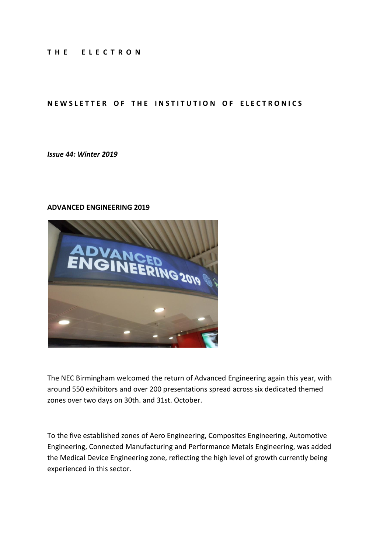#### **T H E E L E C T R O N**

#### **NEWSLETTER OF THE INSTITUTION OF ELECTRONICS**

*Issue 44: Winter 2019*

#### **ADVANCED ENGINEERING 2019**



The NEC Birmingham welcomed the return of Advanced Engineering again this year, with around 550 exhibitors and over 200 presentations spread across six dedicated themed zones over two days on 30th. and 31st. October.

To the five established zones of Aero Engineering, Composites Engineering, Automotive Engineering, Connected Manufacturing and Performance Metals Engineering, was added the Medical Device Engineering zone, reflecting the high level of growth currently being experienced in this sector.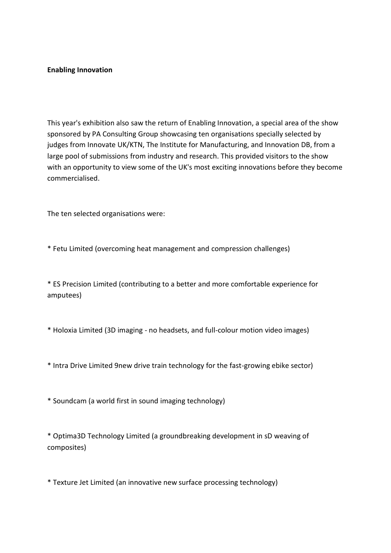#### **Enabling Innovation**

This year's exhibition also saw the return of Enabling Innovation, a special area of the show sponsored by PA Consulting Group showcasing ten organisations specially selected by judges from Innovate UK/KTN, The Institute for Manufacturing, and Innovation DB, from a large pool of submissions from industry and research. This provided visitors to the show with an opportunity to view some of the UK's most exciting innovations before they become commercialised.

The ten selected organisations were:

\* Fetu Limited (overcoming heat management and compression challenges)

\* ES Precision Limited (contributing to a better and more comfortable experience for amputees)

\* Holoxia Limited (3D imaging - no headsets, and full-colour motion video images)

\* Intra Drive Limited 9new drive train technology for the fast-growing ebike sector)

\* Soundcam (a world first in sound imaging technology)

\* Optima3D Technology Limited (a groundbreaking development in sD weaving of composites)

\* Texture Jet Limited (an innovative new surface processing technology)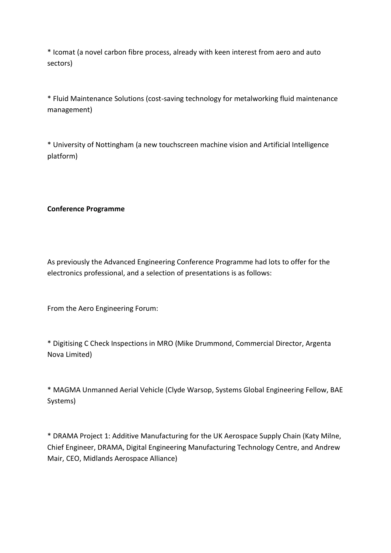\* Icomat (a novel carbon fibre process, already with keen interest from aero and auto sectors)

\* Fluid Maintenance Solutions (cost-saving technology for metalworking fluid maintenance management)

\* University of Nottingham (a new touchscreen machine vision and Artificial Intelligence platform)

# **Conference Programme**

As previously the Advanced Engineering Conference Programme had lots to offer for the electronics professional, and a selection of presentations is as follows:

From the Aero Engineering Forum:

\* Digitising C Check Inspections in MRO (Mike Drummond, Commercial Director, Argenta Nova Limited)

\* MAGMA Unmanned Aerial Vehicle (Clyde Warsop, Systems Global Engineering Fellow, BAE Systems)

\* DRAMA Project 1: Additive Manufacturing for the UK Aerospace Supply Chain (Katy Milne, Chief Engineer, DRAMA, Digital Engineering Manufacturing Technology Centre, and Andrew Mair, CEO, Midlands Aerospace Alliance)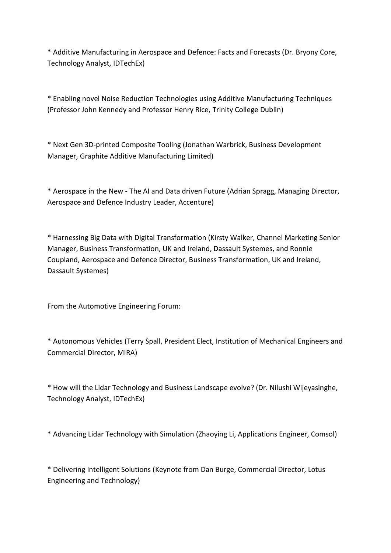\* Additive Manufacturing in Aerospace and Defence: Facts and Forecasts (Dr. Bryony Core, Technology Analyst, IDTechEx)

\* Enabling novel Noise Reduction Technologies using Additive Manufacturing Techniques (Professor John Kennedy and Professor Henry Rice, Trinity College Dublin)

\* Next Gen 3D-printed Composite Tooling (Jonathan Warbrick, Business Development Manager, Graphite Additive Manufacturing Limited)

\* Aerospace in the New - The AI and Data driven Future (Adrian Spragg, Managing Director, Aerospace and Defence Industry Leader, Accenture)

\* Harnessing Big Data with Digital Transformation (Kirsty Walker, Channel Marketing Senior Manager, Business Transformation, UK and Ireland, Dassault Systemes, and Ronnie Coupland, Aerospace and Defence Director, Business Transformation, UK and Ireland, Dassault Systemes)

From the Automotive Engineering Forum:

\* Autonomous Vehicles (Terry Spall, President Elect, Institution of Mechanical Engineers and Commercial Director, MIRA)

\* How will the Lidar Technology and Business Landscape evolve? (Dr. Nilushi Wijeyasinghe, Technology Analyst, IDTechEx)

\* Advancing Lidar Technology with Simulation (Zhaoying Li, Applications Engineer, Comsol)

\* Delivering Intelligent Solutions (Keynote from Dan Burge, Commercial Director, Lotus Engineering and Technology)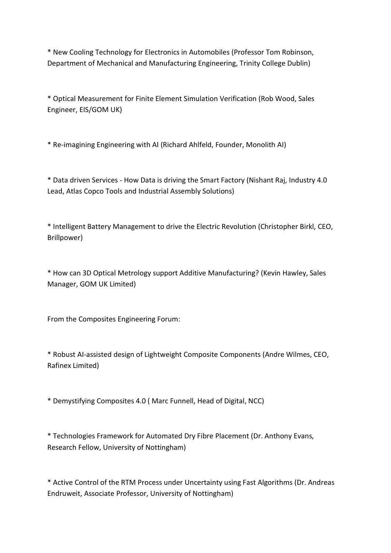\* New Cooling Technology for Electronics in Automobiles (Professor Tom Robinson, Department of Mechanical and Manufacturing Engineering, Trinity College Dublin)

\* Optical Measurement for Finite Element Simulation Verification (Rob Wood, Sales Engineer, EIS/GOM UK)

\* Re-imagining Engineering with AI (Richard Ahlfeld, Founder, Monolith AI)

\* Data driven Services - How Data is driving the Smart Factory (Nishant Raj, Industry 4.0 Lead, Atlas Copco Tools and Industrial Assembly Solutions)

\* Intelligent Battery Management to drive the Electric Revolution (Christopher Birkl, CEO, Brillpower)

\* How can 3D Optical Metrology support Additive Manufacturing? (Kevin Hawley, Sales Manager, GOM UK Limited)

From the Composites Engineering Forum:

\* Robust AI-assisted design of Lightweight Composite Components (Andre Wilmes, CEO, Rafinex Limited)

\* Demystifying Composites 4.0 ( Marc Funnell, Head of Digital, NCC)

\* Technologies Framework for Automated Dry Fibre Placement (Dr. Anthony Evans, Research Fellow, University of Nottingham)

\* Active Control of the RTM Process under Uncertainty using Fast Algorithms (Dr. Andreas Endruweit, Associate Professor, University of Nottingham)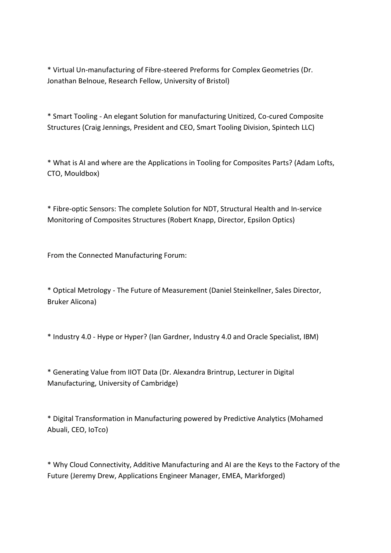\* Virtual Un-manufacturing of Fibre-steered Preforms for Complex Geometries (Dr. Jonathan Belnoue, Research Fellow, University of Bristol)

\* Smart Tooling - An elegant Solution for manufacturing Unitized, Co-cured Composite Structures (Craig Jennings, President and CEO, Smart Tooling Division, Spintech LLC)

\* What is AI and where are the Applications in Tooling for Composites Parts? (Adam Lofts, CTO, Mouldbox)

\* Fibre-optic Sensors: The complete Solution for NDT, Structural Health and In-service Monitoring of Composites Structures (Robert Knapp, Director, Epsilon Optics)

From the Connected Manufacturing Forum:

\* Optical Metrology - The Future of Measurement (Daniel Steinkellner, Sales Director, Bruker Alicona)

\* Industry 4.0 - Hype or Hyper? (Ian Gardner, Industry 4.0 and Oracle Specialist, IBM)

\* Generating Value from IIOT Data (Dr. Alexandra Brintrup, Lecturer in Digital Manufacturing, University of Cambridge)

\* Digital Transformation in Manufacturing powered by Predictive Analytics (Mohamed Abuali, CEO, IoTco)

\* Why Cloud Connectivity, Additive Manufacturing and AI are the Keys to the Factory of the Future (Jeremy Drew, Applications Engineer Manager, EMEA, Markforged)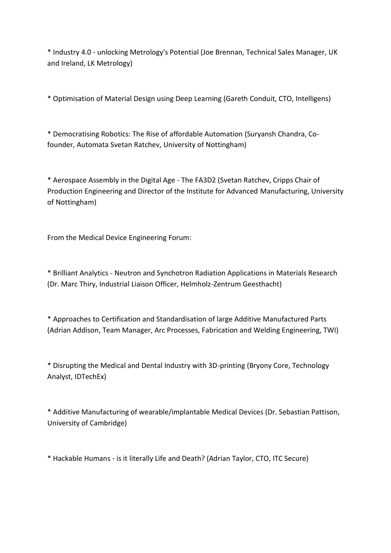\* Industry 4.0 - unlocking Metrology's Potential (Joe Brennan, Technical Sales Manager, UK and Ireland, LK Metrology)

\* Optimisation of Material Design using Deep Learning (Gareth Conduit, CTO, Intelligens)

\* Democratising Robotics: The Rise of affordable Automation (Suryansh Chandra, Cofounder, Automata Svetan Ratchev, University of Nottingham)

\* Aerospace Assembly in the Digital Age - The FA3D2 (Svetan Ratchev, Cripps Chair of Production Engineering and Director of the Institute for Advanced Manufacturing, University of Nottingham)

From the Medical Device Engineering Forum:

\* Brilliant Analytics - Neutron and Synchotron Radiation Applications in Materials Research (Dr. Marc Thiry, Industrial Liaison Officer, Helmholz-Zentrum Geesthacht)

\* Approaches to Certification and Standardisation of large Additive Manufactured Parts (Adrian Addison, Team Manager, Arc Processes, Fabrication and Welding Engineering, TWI)

\* Disrupting the Medical and Dental Industry with 3D-printing (Bryony Core, Technology Analyst, IDTechEx)

\* Additive Manufacturing of wearable/implantable Medical Devices (Dr. Sebastian Pattison, University of Cambridge)

\* Hackable Humans - is it literally Life and Death? (Adrian Taylor, CTO, ITC Secure)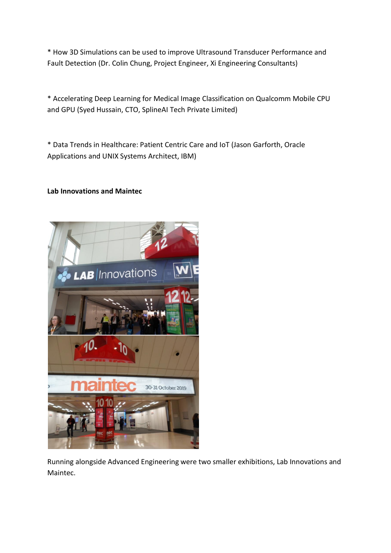\* How 3D Simulations can be used to improve Ultrasound Transducer Performance and Fault Detection (Dr. Colin Chung, Project Engineer, Xi Engineering Consultants)

\* Accelerating Deep Learning for Medical Image Classification on Qualcomm Mobile CPU and GPU (Syed Hussain, CTO, SplineAI Tech Private Limited)

\* Data Trends in Healthcare: Patient Centric Care and IoT (Jason Garforth, Oracle Applications and UNIX Systems Architect, IBM)

### **Lab Innovations and Maintec**



Running alongside Advanced Engineering were two smaller exhibitions, Lab Innovations and Maintec.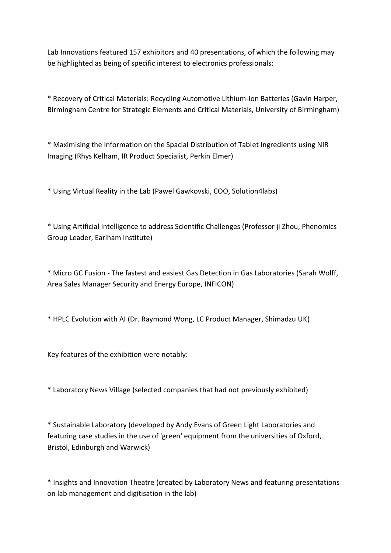Lab Innovations featured 157 exhibitors and 40 presentations, of which the following may be highlighted as being of specific interest to electronics professionals:

\* Recovery of Critical Materials: Recycling Automotive Lithium-ion Batteries (Gavin Harper, Birmingham Centre for Strategic Elements and Critical Materials, University of Birmingham)

\* Maximising the Information on the Spacial Distribution of Tablet Ingredients using NIR Imaging (Rhys Kelham, IR Product Specialist, Perkin Elmer)

\* Using Virtual Reality in the Lab (Pawel Gawkovski, COO, Solution4labs)

\* Using Artificial Intelligence to address Scientific Challenges (Professor ji Zhou, Phenomics Group Leader, Earlham Institute)

\* Micro GC Fusion - The fastest and easiest Gas Detection in Gas Laboratories (Sarah Wolff, Area Sales Manager Security and Energy Europe, INFICON)

\* HPLC Evolution with AI (Dr. Raymond Wong, LC Product Manager, Shimadzu UK)

Key features of the exhibition were notably:

\* Laboratory News Village (selected companies that had not previously exhibited)

\* Sustainable Laboratory (developed by Andy Evans of Green Light Laboratories and featuring case studies in the use of 'green' equipment from the universities of Oxford, Bristol, Edinburgh and Warwick)

\* Insights and Innovation Theatre (created by Laboratory News and featuring presentations on lab management and digitisation in the lab)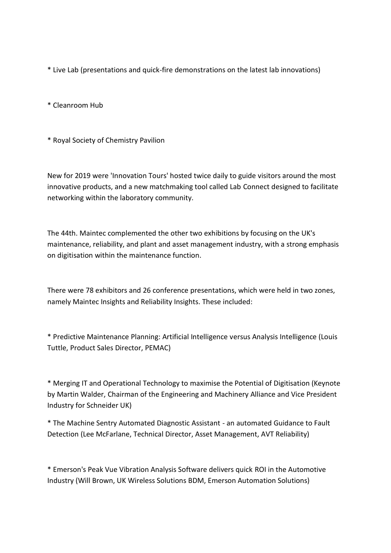- \* Live Lab (presentations and quick-fire demonstrations on the latest lab innovations)
- \* Cleanroom Hub
- \* Royal Society of Chemistry Pavilion

New for 2019 were 'Innovation Tours' hosted twice daily to guide visitors around the most innovative products, and a new matchmaking tool called Lab Connect designed to facilitate networking within the laboratory community.

The 44th. Maintec complemented the other two exhibitions by focusing on the UK's maintenance, reliability, and plant and asset management industry, with a strong emphasis on digitisation within the maintenance function.

There were 78 exhibitors and 26 conference presentations, which were held in two zones, namely Maintec Insights and Reliability Insights. These included:

\* Predictive Maintenance Planning: Artificial Intelligence versus Analysis Intelligence (Louis Tuttle, Product Sales Director, PEMAC)

\* Merging IT and Operational Technology to maximise the Potential of Digitisation (Keynote by Martin Walder, Chairman of the Engineering and Machinery Alliance and Vice President Industry for Schneider UK)

\* The Machine Sentry Automated Diagnostic Assistant - an automated Guidance to Fault Detection (Lee McFarlane, Technical Director, Asset Management, AVT Reliability)

\* Emerson's Peak Vue Vibration Analysis Software delivers quick ROI in the Automotive Industry (Will Brown, UK Wireless Solutions BDM, Emerson Automation Solutions)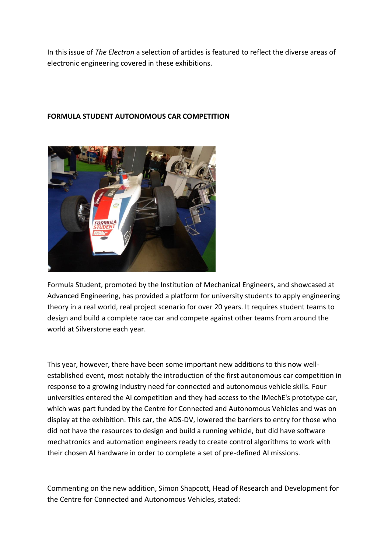In this issue of *The Electron* a selection of articles is featured to reflect the diverse areas of electronic engineering covered in these exhibitions.



### **FORMULA STUDENT AUTONOMOUS CAR COMPETITION**

Formula Student, promoted by the Institution of Mechanical Engineers, and showcased at Advanced Engineering, has provided a platform for university students to apply engineering theory in a real world, real project scenario for over 20 years. It requires student teams to design and build a complete race car and compete against other teams from around the world at Silverstone each year.

This year, however, there have been some important new additions to this now wellestablished event, most notably the introduction of the first autonomous car competition in response to a growing industry need for connected and autonomous vehicle skills. Four universities entered the AI competition and they had access to the IMechE's prototype car, which was part funded by the Centre for Connected and Autonomous Vehicles and was on display at the exhibition. This car, the ADS-DV, lowered the barriers to entry for those who did not have the resources to design and build a running vehicle, but did have software mechatronics and automation engineers ready to create control algorithms to work with their chosen AI hardware in order to complete a set of pre-defined AI missions.

Commenting on the new addition, Simon Shapcott, Head of Research and Development for the Centre for Connected and Autonomous Vehicles, stated: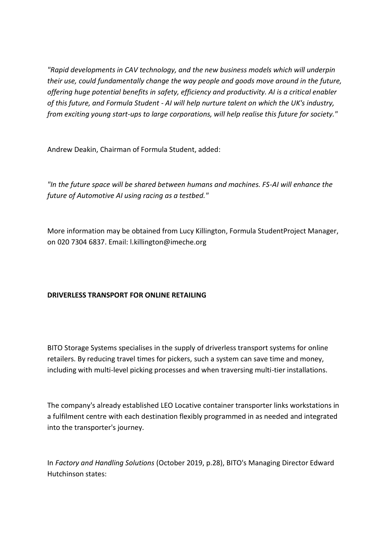*"Rapid developments in CAV technology, and the new business models which will underpin their use, could fundamentally change the way people and goods move around in the future, offering huge potential benefits in safety, efficiency and productivity. AI is a critical enabler of this future, and Formula Student - AI will help nurture talent on which the UK's industry, from exciting young start-ups to large corporations, will help realise this future for society."*

Andrew Deakin, Chairman of Formula Student, added:

*"In the future space will be shared between humans and machines. FS-AI will enhance the future of Automotive AI using racing as a testbed."*

More information may be obtained from Lucy Killington, Formula StudentProject Manager, on 020 7304 6837. Email: l.killington@imeche.org

# **DRIVERLESS TRANSPORT FOR ONLINE RETAILING**

BITO Storage Systems specialises in the supply of driverless transport systems for online retailers. By reducing travel times for pickers, such a system can save time and money, including with multi-level picking processes and when traversing multi-tier installations.

The company's already established LEO Locative container transporter links workstations in a fulfilment centre with each destination flexibly programmed in as needed and integrated into the transporter's journey.

In *Factory and Handling Solutions* (October 2019, p.28), BITO's Managing Director Edward Hutchinson states: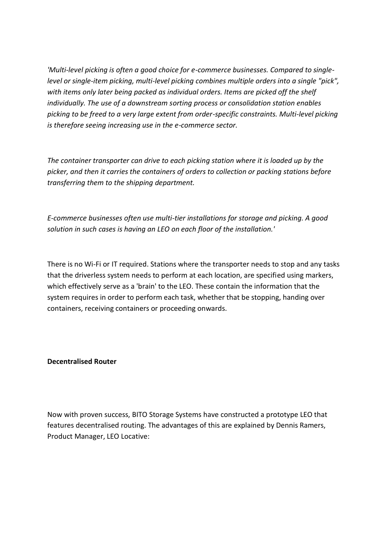*'Multi-level picking is often a good choice for e-commerce businesses. Compared to singlelevel or single-item picking, multi-level picking combines multiple orders into a single "pick", with items only later being packed as individual orders. Items are picked off the shelf individually. The use of a downstream sorting process or consolidation station enables picking to be freed to a very large extent from order-specific constraints. Multi-level picking is therefore seeing increasing use in the e-commerce sector.*

*The container transporter can drive to each picking station where it is loaded up by the picker, and then it carries the containers of orders to collection or packing stations before transferring them to the shipping department.*

*E-commerce businesses often use multi-tier installations for storage and picking. A good solution in such cases is having an LEO on each floor of the installation.'*

There is no Wi-Fi or IT required. Stations where the transporter needs to stop and any tasks that the driverless system needs to perform at each location, are specified using markers, which effectively serve as a 'brain' to the LEO. These contain the information that the system requires in order to perform each task, whether that be stopping, handing over containers, receiving containers or proceeding onwards.

**Decentralised Router**

Now with proven success, BITO Storage Systems have constructed a prototype LEO that features decentralised routing. The advantages of this are explained by Dennis Ramers, Product Manager, LEO Locative: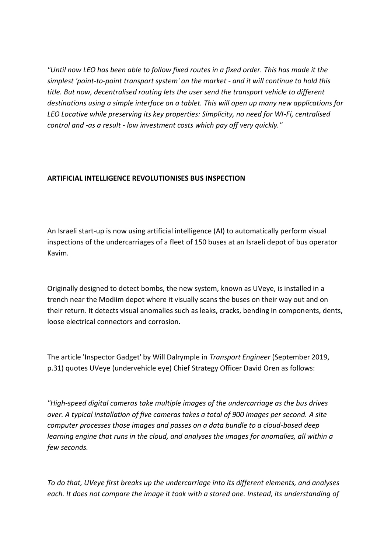*"Until now LEO has been able to follow fixed routes in a fixed order. This has made it the simplest 'point-to-point transport system' on the market - and it will continue to hold this title. But now, decentralised routing lets the user send the transport vehicle to different destinations using a simple interface on a tablet. This will open up many new applications for LEO Locative while preserving its key properties: Simplicity, no need for WI-Fi, centralised control and -as a result - low investment costs which pay off very quickly."*

### **ARTIFICIAL INTELLIGENCE REVOLUTIONISES BUS INSPECTION**

An Israeli start-up is now using artificial intelligence (AI) to automatically perform visual inspections of the undercarriages of a fleet of 150 buses at an Israeli depot of bus operator Kavim.

Originally designed to detect bombs, the new system, known as UVeye, is installed in a trench near the Modiim depot where it visually scans the buses on their way out and on their return. It detects visual anomalies such as leaks, cracks, bending in components, dents, loose electrical connectors and corrosion.

The article 'Inspector Gadget' by Will Dalrymple in *Transport Engineer* (September 2019, p.31) quotes UVeye (undervehicle eye) Chief Strategy Officer David Oren as follows:

*"High-speed digital cameras take multiple images of the undercarriage as the bus drives over. A typical installation of five cameras takes a total of 900 images per second. A site computer processes those images and passes on a data bundle to a cloud-based deep learning engine that runs in the cloud, and analyses the images for anomalies, all within a few seconds.*

*To do that, UVeye first breaks up the undercarriage into its different elements, and analyses each. It does not compare the image it took with a stored one. Instead, its understanding of*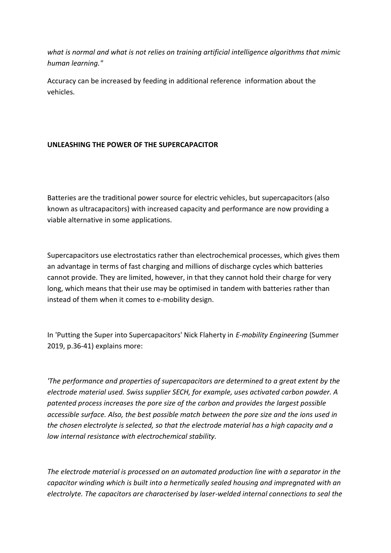*what is normal and what is not relies on training artificial intelligence algorithms that mimic human learning."*

Accuracy can be increased by feeding in additional reference information about the vehicles.

# **UNLEASHING THE POWER OF THE SUPERCAPACITOR**

Batteries are the traditional power source for electric vehicles, but supercapacitors (also known as ultracapacitors) with increased capacity and performance are now providing a viable alternative in some applications.

Supercapacitors use electrostatics rather than electrochemical processes, which gives them an advantage in terms of fast charging and millions of discharge cycles which batteries cannot provide. They are limited, however, in that they cannot hold their charge for very long, which means that their use may be optimised in tandem with batteries rather than instead of them when it comes to e-mobility design.

In 'Putting the Super into Supercapacitors' Nick Flaherty in *E-mobility Engineering* (Summer 2019, p.36-41) explains more:

*'The performance and properties of supercapacitors are determined to a great extent by the electrode material used. Swiss supplier SECH, for example, uses activated carbon powder. A patented process increases the pore size of the carbon and provides the largest possible accessible surface. Also, the best possible match between the pore size and the ions used in the chosen electrolyte is selected, so that the electrode material has a high capacity and a low internal resistance with electrochemical stability.*

*The electrode material is processed on an automated production line with a separator in the capacitor winding which is built into a hermetically sealed housing and impregnated with an electrolyte. The capacitors are characterised by laser-welded internal connections to seal the*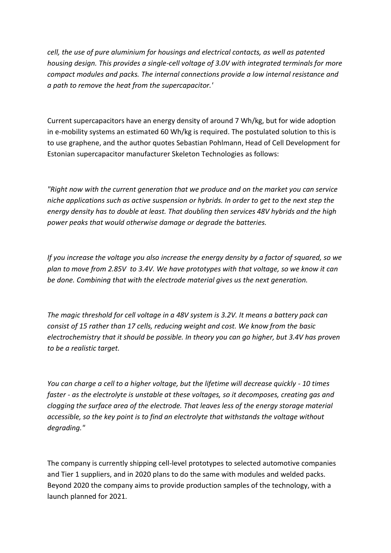*cell, the use of pure aluminium for housings and electrical contacts, as well as patented housing design. This provides a single-cell voltage of 3.0V with integrated terminals for more compact modules and packs. The internal connections provide a low internal resistance and a path to remove the heat from the supercapacitor.'*

Current supercapacitors have an energy density of around 7 Wh/kg, but for wide adoption in e-mobility systems an estimated 60 Wh/kg is required. The postulated solution to this is to use graphene, and the author quotes Sebastian Pohlmann, Head of Cell Development for Estonian supercapacitor manufacturer Skeleton Technologies as follows:

*"Right now with the current generation that we produce and on the market you can service niche applications such as active suspension or hybrids. In order to get to the next step the energy density has to double at least. That doubling then services 48V hybrids and the high power peaks that would otherwise damage or degrade the batteries.*

*If you increase the voltage you also increase the energy density by a factor of squared, so we plan to move from 2.85V to 3.4V. We have prototypes with that voltage, so we know it can be done. Combining that with the electrode material gives us the next generation.* 

*The magic threshold for cell voltage in a 48V system is 3.2V. It means a battery pack can consist of 15 rather than 17 cells, reducing weight and cost. We know from the basic electrochemistry that it should be possible. In theory you can go higher, but 3.4V has proven to be a realistic target.*

*You can charge a cell to a higher voltage, but the lifetime will decrease quickly - 10 times faster - as the electrolyte is unstable at these voltages, so it decomposes, creating gas and clogging the surface area of the electrode. That leaves less of the energy storage material accessible, so the key point is to find an electrolyte that withstands the voltage without degrading."*

The company is currently shipping cell-level prototypes to selected automotive companies and Tier 1 suppliers, and in 2020 plans to do the same with modules and welded packs. Beyond 2020 the company aims to provide production samples of the technology, with a launch planned for 2021.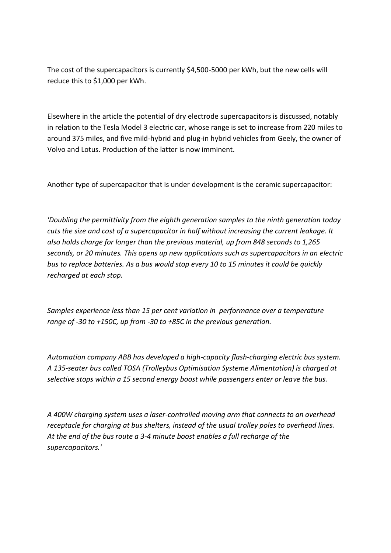The cost of the supercapacitors is currently \$4,500-5000 per kWh, but the new cells will reduce this to \$1,000 per kWh.

Elsewhere in the article the potential of dry electrode supercapacitors is discussed, notably in relation to the Tesla Model 3 electric car, whose range is set to increase from 220 miles to around 375 miles, and five mild-hybrid and plug-in hybrid vehicles from Geely, the owner of Volvo and Lotus. Production of the latter is now imminent.

Another type of supercapacitor that is under development is the ceramic supercapacitor:

*'Doubling the permittivity from the eighth generation samples to the ninth generation today cuts the size and cost of a supercapacitor in half without increasing the current leakage. It also holds charge for longer than the previous material, up from 848 seconds to 1,265 seconds, or 20 minutes. This opens up new applications such as supercapacitors in an electric bus to replace batteries. As a bus would stop every 10 to 15 minutes it could be quickly recharged at each stop.*

*Samples experience less than 15 per cent variation in performance over a temperature range of -30 to +150C, up from -30 to +85C in the previous generation.*

*Automation company ABB has developed a high-capacity flash-charging electric bus system. A 135-seater bus called TOSA (Trolleybus Optimisation Systeme Alimentation) is charged at selective stops within a 15 second energy boost while passengers enter or leave the bus.* 

*A 400W charging system uses a laser-controlled moving arm that connects to an overhead receptacle for charging at bus shelters, instead of the usual trolley poles to overhead lines. At the end of the bus route a 3-4 minute boost enables a full recharge of the supercapacitors.'*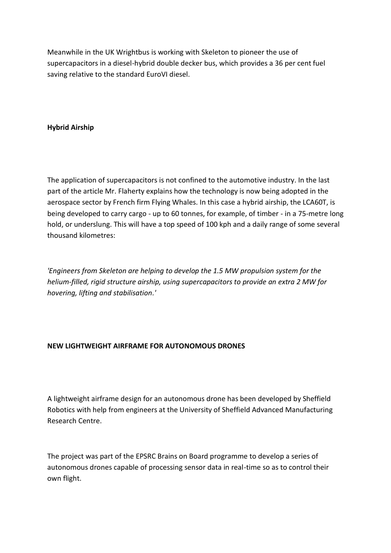Meanwhile in the UK Wrightbus is working with Skeleton to pioneer the use of supercapacitors in a diesel-hybrid double decker bus, which provides a 36 per cent fuel saving relative to the standard EuroVI diesel.

## **Hybrid Airship**

The application of supercapacitors is not confined to the automotive industry. In the last part of the article Mr. Flaherty explains how the technology is now being adopted in the aerospace sector by French firm Flying Whales. In this case a hybrid airship, the LCA60T, is being developed to carry cargo - up to 60 tonnes, for example, of timber - in a 75-metre long hold, or underslung. This will have a top speed of 100 kph and a daily range of some several thousand kilometres:

*'Engineers from Skeleton are helping to develop the 1.5 MW propulsion system for the helium-filled, rigid structure airship, using supercapacitors to provide an extra 2 MW for hovering, lifting and stabilisation.'*

### **NEW LIGHTWEIGHT AIRFRAME FOR AUTONOMOUS DRONES**

A lightweight airframe design for an autonomous drone has been developed by Sheffield Robotics with help from engineers at the University of Sheffield Advanced Manufacturing Research Centre.

The project was part of the EPSRC Brains on Board programme to develop a series of autonomous drones capable of processing sensor data in real-time so as to control their own flight.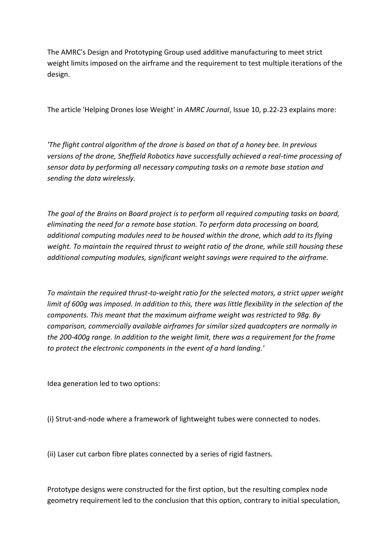The AMRC's Design and Prototyping Group used additive manufacturing to meet strict weight limits imposed on the airframe and the requirement to test multiple iterations of the design.

The article 'Helping Drones lose Weight' in *AMRC Journal*, Issue 10, p.22-23 explains more:

*'The flight control algorithm of the drone is based on that of a honey bee. In previous versions of the drone, Sheffield Robotics have successfully achieved a real-time processing of sensor data by performing all necessary computing tasks on a remote base station and sending the data wirelessly.*

*The goal of the Brains on Board project is to perform all required computing tasks on board, eliminating the need for a remote base station. To perform data processing on board, additional computing modules need to be housed within the drone, which add to its flying weight. To maintain the required thrust to weight ratio of the drone, while still housing these additional computing modules, significant weight savings were required to the airframe.*

*To maintain the required thrust-to-weight ratio for the selected motors, a strict upper weight*  limit of 600g was imposed. In addition to this, there was little flexibility in the selection of the *components. This meant that the maximum airframe weight was restricted to 98g. By comparison, commercially available airframes for similar sized quadcopters are normally in the 200-400g range. In addition to the weight limit, there was a requirement for the frame to protect the electronic components in the event of a hard landing.'* 

Idea generation led to two options:

(i) Strut-and-node where a framework of lightweight tubes were connected to nodes.

(ii) Laser cut carbon fibre plates connected by a series of rigid fastners.

Prototype designs were constructed for the first option, but the resulting complex node geometry requirement led to the conclusion that this option, contrary to initial speculation,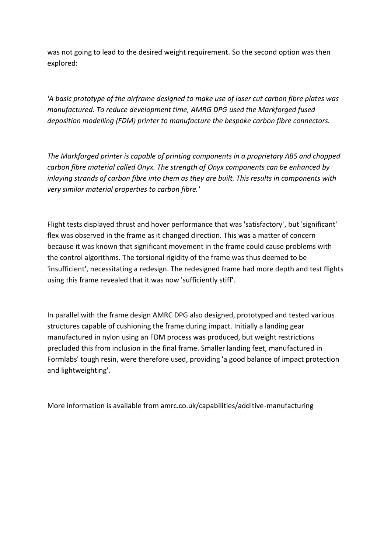was not going to lead to the desired weight requirement. So the second option was then explored:

*'A basic prototype of the airframe designed to make use of laser cut carbon fibre plates was manufactured. To reduce development time, AMRG DPG used the Markforged fused deposition modelling (FDM) printer to manufacture the bespoke carbon fibre connectors.*

*The Markforged printer is capable of printing components in a proprietary ABS and chopped carbon fibre material called Onyx. The strength of Onyx components can be enhanced by inlaying strands of carbon fibre into them as they are built. This results in components with very similar material properties to carbon fibre.'*

Flight tests displayed thrust and hover performance that was 'satisfactory', but 'significant' flex was observed in the frame as it changed direction. This was a matter of concern because it was known that significant movement in the frame could cause problems with the control algorithms. The torsional rigidity of the frame was thus deemed to be 'insufficient', necessitating a redesign. The redesigned frame had more depth and test flights using this frame revealed that it was now 'sufficiently stiff'.

In parallel with the frame design AMRC DPG also designed, prototyped and tested various structures capable of cushioning the frame during impact. Initially a landing gear manufactured in nylon using an FDM process was produced, but weight restrictions precluded this from inclusion in the final frame. Smaller landing feet, manufactured in Formlabs' tough resin, were therefore used, providing 'a good balance of impact protection and lightweighting'.

More information is available from amrc.co.uk/capabilities/additive-manufacturing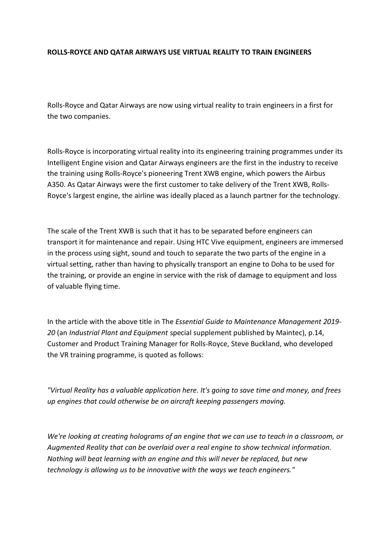### **ROLLS-ROYCE AND QATAR AIRWAYS USE VIRTUAL REALITY TO TRAIN ENGINEERS**

Rolls-Royce and Qatar Airways are now using virtual reality to train engineers in a first for the two companies.

Rolls-Royce is incorporating virtual reality into its engineering training programmes under its Intelligent Engine vision and Qatar Airways engineers are the first in the industry to receive the training using Rolls-Royce's pioneering Trent XWB engine, which powers the Airbus A350. As Qatar Airways were the first customer to take delivery of the Trent XWB, Rolls-Royce's largest engine, the airline was ideally placed as a launch partner for the technology.

The scale of the Trent XWB is such that it has to be separated before engineers can transport it for maintenance and repair. Using HTC Vive equipment, engineers are immersed in the process using sight, sound and touch to separate the two parts of the engine in a virtual setting, rather than having to physically transport an engine to Doha to be used for the training, or provide an engine in service with the risk of damage to equipment and loss of valuable flying time.

In the article with the above title in The *Essential Guide to Maintenance Management 2019- 20* (an *Industrial Plant and Equipment* special supplement published by Maintec), p.14, Customer and Product Training Manager for Rolls-Royce, Steve Buckland, who developed the VR training programme, is quoted as follows:

*"Virtual Reality has a valuable application here. It's going to save time and money, and frees up engines that could otherwise be on aircraft keeping passengers moving.*

*We're looking at creating holograms of an engine that we can use to teach in a classroom, or Augmented Reality that can be overlaid over a real engine to show technical information. Nothing will beat learning with an engine and this will never be replaced, but new technology is allowing us to be innovative with the ways we teach engineers."*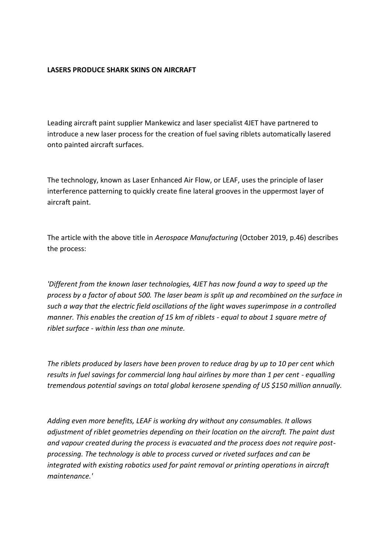### **LASERS PRODUCE SHARK SKINS ON AIRCRAFT**

Leading aircraft paint supplier Mankewicz and laser specialist 4JET have partnered to introduce a new laser process for the creation of fuel saving riblets automatically lasered onto painted aircraft surfaces.

The technology, known as Laser Enhanced Air Flow, or LEAF, uses the principle of laser interference patterning to quickly create fine lateral grooves in the uppermost layer of aircraft paint.

The article with the above title in *Aerospace Manufacturing* (October 2019, p.46) describes the process:

*'Different from the known laser technologies, 4JET has now found a way to speed up the process by a factor of about 500. The laser beam is split up and recombined on the surface in such a way that the electric field oscillations of the light waves superimpose in a controlled manner. This enables the creation of 15 km of riblets - equal to about 1 square metre of riblet surface - within less than one minute.*

*The riblets produced by lasers have been proven to reduce drag by up to 10 per cent which results in fuel savings for commercial long haul airlines by more than 1 per cent - equalling tremendous potential savings on total global kerosene spending of US \$150 million annually.*

*Adding even more benefits, LEAF is working dry without any consumables. It allows adjustment of riblet geometries depending on their location on the aircraft. The paint dust and vapour created during the process is evacuated and the process does not require postprocessing. The technology is able to process curved or riveted surfaces and can be integrated with existing robotics used for paint removal or printing operations in aircraft maintenance.'*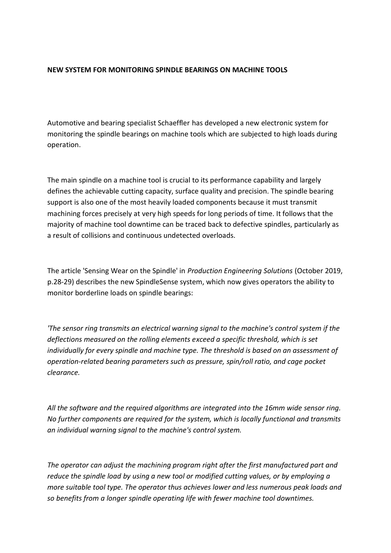### **NEW SYSTEM FOR MONITORING SPINDLE BEARINGS ON MACHINE TOOLS**

Automotive and bearing specialist Schaeffler has developed a new electronic system for monitoring the spindle bearings on machine tools which are subjected to high loads during operation.

The main spindle on a machine tool is crucial to its performance capability and largely defines the achievable cutting capacity, surface quality and precision. The spindle bearing support is also one of the most heavily loaded components because it must transmit machining forces precisely at very high speeds for long periods of time. It follows that the majority of machine tool downtime can be traced back to defective spindles, particularly as a result of collisions and continuous undetected overloads.

The article 'Sensing Wear on the Spindle' in *Production Engineering Solutions* (October 2019, p.28-29) describes the new SpindleSense system, which now gives operators the ability to monitor borderline loads on spindle bearings:

*'The sensor ring transmits an electrical warning signal to the machine's control system if the deflections measured on the rolling elements exceed a specific threshold, which is set individually for every spindle and machine type. The threshold is based on an assessment of operation-related bearing parameters such as pressure, spin/roll ratio, and cage pocket clearance.*

*All the software and the required algorithms are integrated into the 16mm wide sensor ring. No further components are required for the system, which is locally functional and transmits an individual warning signal to the machine's control system.*

*The operator can adjust the machining program right after the first manufactured part and reduce the spindle load by using a new tool or modified cutting values, or by employing a more suitable tool type. The operator thus achieves lower and less numerous peak loads and so benefits from a longer spindle operating life with fewer machine tool downtimes.*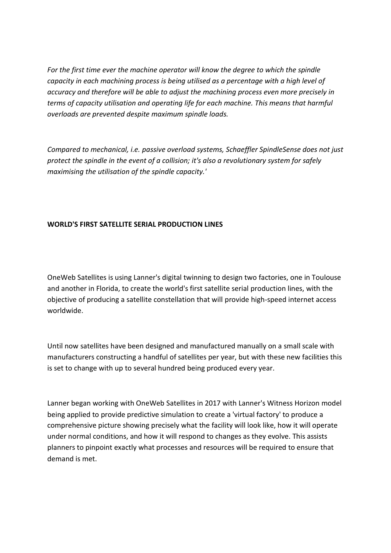*For the first time ever the machine operator will know the degree to which the spindle capacity in each machining process is being utilised as a percentage with a high level of accuracy and therefore will be able to adjust the machining process even more precisely in terms of capacity utilisation and operating life for each machine. This means that harmful overloads are prevented despite maximum spindle loads.*

*Compared to mechanical, i.e. passive overload systems, Schaeffler SpindleSense does not just protect the spindle in the event of a collision; it's also a revolutionary system for safely maximising the utilisation of the spindle capacity.'*

### **WORLD'S FIRST SATELLITE SERIAL PRODUCTION LINES**

OneWeb Satellites is using Lanner's digital twinning to design two factories, one in Toulouse and another in Florida, to create the world's first satellite serial production lines, with the objective of producing a satellite constellation that will provide high-speed internet access worldwide.

Until now satellites have been designed and manufactured manually on a small scale with manufacturers constructing a handful of satellites per year, but with these new facilities this is set to change with up to several hundred being produced every year.

Lanner began working with OneWeb Satellites in 2017 with Lanner's Witness Horizon model being applied to provide predictive simulation to create a 'virtual factory' to produce a comprehensive picture showing precisely what the facility will look like, how it will operate under normal conditions, and how it will respond to changes as they evolve. This assists planners to pinpoint exactly what processes and resources will be required to ensure that demand is met.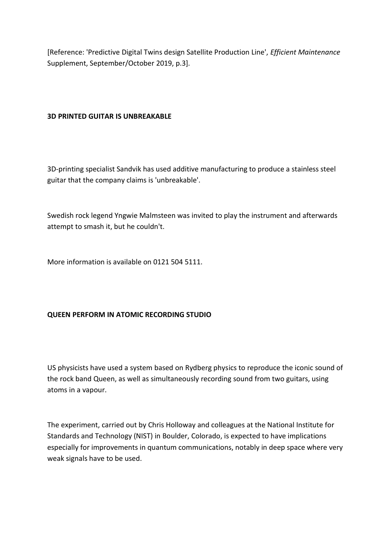[Reference: 'Predictive Digital Twins design Satellite Production Line', *Efficient Maintenance* Supplement, September/October 2019, p.3].

## **3D PRINTED GUITAR IS UNBREAKABLE**

3D-printing specialist Sandvik has used additive manufacturing to produce a stainless steel guitar that the company claims is 'unbreakable'.

Swedish rock legend Yngwie Malmsteen was invited to play the instrument and afterwards attempt to smash it, but he couldn't.

More information is available on 0121 504 5111.

# **QUEEN PERFORM IN ATOMIC RECORDING STUDIO**

US physicists have used a system based on Rydberg physics to reproduce the iconic sound of the rock band Queen, as well as simultaneously recording sound from two guitars, using atoms in a vapour.

The experiment, carried out by Chris Holloway and colleagues at the National Institute for Standards and Technology (NIST) in Boulder, Colorado, is expected to have implications especially for improvements in quantum communications, notably in deep space where very weak signals have to be used.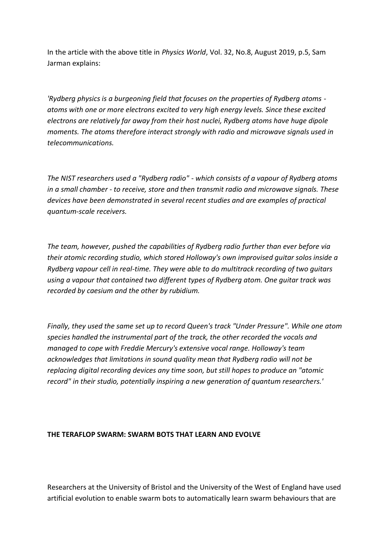In the article with the above title in *Physics World*, Vol. 32, No.8, August 2019, p.5, Sam Jarman explains:

*'Rydberg physics is a burgeoning field that focuses on the properties of Rydberg atoms atoms with one or more electrons excited to very high energy levels. Since these excited electrons are relatively far away from their host nuclei, Rydberg atoms have huge dipole moments. The atoms therefore interact strongly with radio and microwave signals used in telecommunications.*

*The NIST researchers used a "Rydberg radio" - which consists of a vapour of Rydberg atoms in a small chamber - to receive, store and then transmit radio and microwave signals. These devices have been demonstrated in several recent studies and are examples of practical quantum-scale receivers.*

*The team, however, pushed the capabilities of Rydberg radio further than ever before via their atomic recording studio, which stored Holloway's own improvised guitar solos inside a Rydberg vapour cell in real-time. They were able to do multitrack recording of two guitars using a vapour that contained two different types of Rydberg atom. One guitar track was recorded by caesium and the other by rubidium.*

*Finally, they used the same set up to record Queen's track "Under Pressure". While one atom species handled the instrumental part of the track, the other recorded the vocals and managed to cope with Freddie Mercury's extensive vocal range. Holloway's team acknowledges that limitations in sound quality mean that Rydberg radio will not be replacing digital recording devices any time soon, but still hopes to produce an "atomic record" in their studio, potentially inspiring a new generation of quantum researchers.'*

### **THE TERAFLOP SWARM: SWARM BOTS THAT LEARN AND EVOLVE**

Researchers at the University of Bristol and the University of the West of England have used artificial evolution to enable swarm bots to automatically learn swarm behaviours that are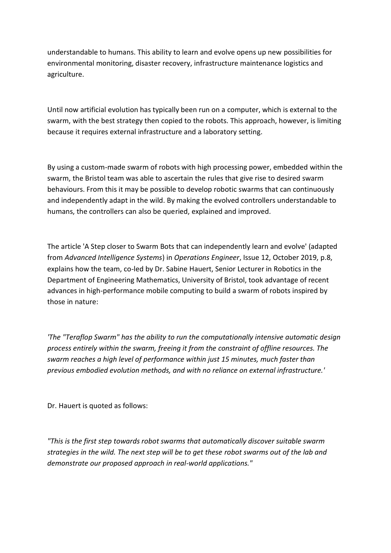understandable to humans. This ability to learn and evolve opens up new possibilities for environmental monitoring, disaster recovery, infrastructure maintenance logistics and agriculture.

Until now artificial evolution has typically been run on a computer, which is external to the swarm, with the best strategy then copied to the robots. This approach, however, is limiting because it requires external infrastructure and a laboratory setting.

By using a custom-made swarm of robots with high processing power, embedded within the swarm, the Bristol team was able to ascertain the rules that give rise to desired swarm behaviours. From this it may be possible to develop robotic swarms that can continuously and independently adapt in the wild. By making the evolved controllers understandable to humans, the controllers can also be queried, explained and improved.

The article 'A Step closer to Swarm Bots that can independently learn and evolve' (adapted from *Advanced Intelligence Systems*) in *Operations Engineer*, Issue 12, October 2019, p.8, explains how the team, co-led by Dr. Sabine Hauert, Senior Lecturer in Robotics in the Department of Engineering Mathematics, University of Bristol, took advantage of recent advances in high-performance mobile computing to build a swarm of robots inspired by those in nature:

*'The "Teraflop Swarm" has the ability to run the computationally intensive automatic design process entirely within the swarm, freeing it from the constraint of offline resources. The swarm reaches a high level of performance within just 15 minutes, much faster than previous embodied evolution methods, and with no reliance on external infrastructure.'*

Dr. Hauert is quoted as follows:

*"This is the first step towards robot swarms that automatically discover suitable swarm strategies in the wild. The next step will be to get these robot swarms out of the lab and demonstrate our proposed approach in real-world applications."*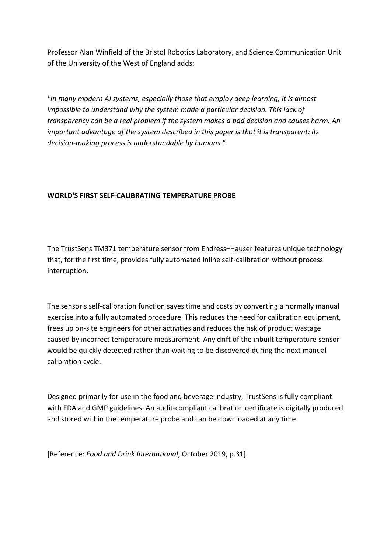Professor Alan Winfield of the Bristol Robotics Laboratory, and Science Communication Unit of the University of the West of England adds:

*"In many modern AI systems, especially those that employ deep learning, it is almost impossible to understand why the system made a particular decision. This lack of transparency can be a real problem if the system makes a bad decision and causes harm. An important advantage of the system described in this paper is that it is transparent: its decision-making process is understandable by humans."*

### **WORLD'S FIRST SELF-CALIBRATING TEMPERATURE PROBE**

The TrustSens TM371 temperature sensor from Endress+Hauser features unique technology that, for the first time, provides fully automated inline self-calibration without process interruption.

The sensor's self-calibration function saves time and costs by converting a normally manual exercise into a fully automated procedure. This reduces the need for calibration equipment, frees up on-site engineers for other activities and reduces the risk of product wastage caused by incorrect temperature measurement. Any drift of the inbuilt temperature sensor would be quickly detected rather than waiting to be discovered during the next manual calibration cycle.

Designed primarily for use in the food and beverage industry, TrustSens is fully compliant with FDA and GMP guidelines. An audit-compliant calibration certificate is digitally produced and stored within the temperature probe and can be downloaded at any time.

[Reference: *Food and Drink International*, October 2019, p.31].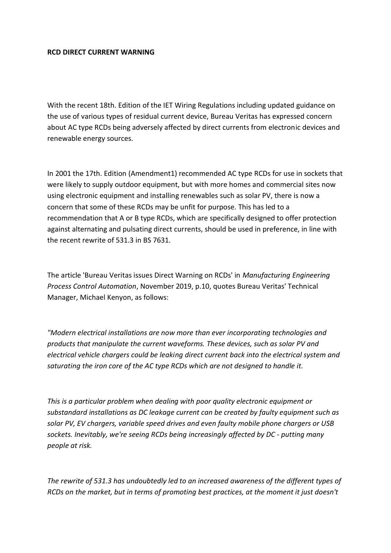### **RCD DIRECT CURRENT WARNING**

With the recent 18th. Edition of the IET Wiring Regulations including updated guidance on the use of various types of residual current device, Bureau Veritas has expressed concern about AC type RCDs being adversely affected by direct currents from electronic devices and renewable energy sources.

In 2001 the 17th. Edition (Amendment1) recommended AC type RCDs for use in sockets that were likely to supply outdoor equipment, but with more homes and commercial sites now using electronic equipment and installing renewables such as solar PV, there is now a concern that some of these RCDs may be unfit for purpose. This has led to a recommendation that A or B type RCDs, which are specifically designed to offer protection against alternating and pulsating direct currents, should be used in preference, in line with the recent rewrite of 531.3 in BS 7631.

The article 'Bureau Veritas issues Direct Warning on RCDs' in *Manufacturing Engineering Process Control Automation*, November 2019, p.10, quotes Bureau Veritas' Technical Manager, Michael Kenyon, as follows:

*"Modern electrical installations are now more than ever incorporating technologies and products that manipulate the current waveforms. These devices, such as solar PV and electrical vehicle chargers could be leaking direct current back into the electrical system and saturating the iron core of the AC type RCDs which are not designed to handle it.*

*This is a particular problem when dealing with poor quality electronic equipment or substandard installations as DC leakage current can be created by faulty equipment such as solar PV, EV chargers, variable speed drives and even faulty mobile phone chargers or USB sockets. Inevitably, we're seeing RCDs being increasingly affected by DC - putting many people at risk.*

*The rewrite of 531.3 has undoubtedly led to an increased awareness of the different types of RCDs on the market, but in terms of promoting best practices, at the moment it just doesn't*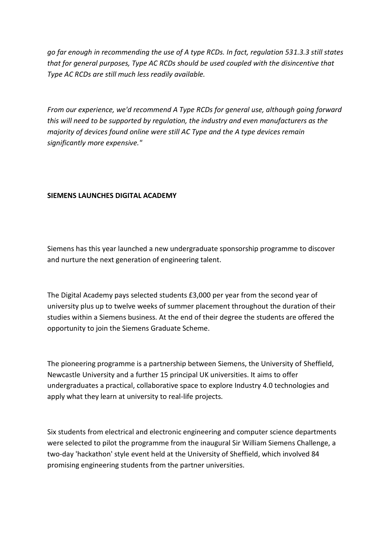*go far enough in recommending the use of A type RCDs. In fact, regulation 531.3.3 still states that for general purposes, Type AC RCDs should be used coupled with the disincentive that Type AC RCDs are still much less readily available.*

*From our experience, we'd recommend A Type RCDs for general use, although going forward this will need to be supported by regulation, the industry and even manufacturers as the majority of devices found online were still AC Type and the A type devices remain significantly more expensive."*

### **SIEMENS LAUNCHES DIGITAL ACADEMY**

Siemens has this year launched a new undergraduate sponsorship programme to discover and nurture the next generation of engineering talent.

The Digital Academy pays selected students £3,000 per year from the second year of university plus up to twelve weeks of summer placement throughout the duration of their studies within a Siemens business. At the end of their degree the students are offered the opportunity to join the Siemens Graduate Scheme.

The pioneering programme is a partnership between Siemens, the University of Sheffield, Newcastle University and a further 15 principal UK universities. It aims to offer undergraduates a practical, collaborative space to explore Industry 4.0 technologies and apply what they learn at university to real-life projects.

Six students from electrical and electronic engineering and computer science departments were selected to pilot the programme from the inaugural Sir William Siemens Challenge, a two-day 'hackathon' style event held at the University of Sheffield, which involved 84 promising engineering students from the partner universities.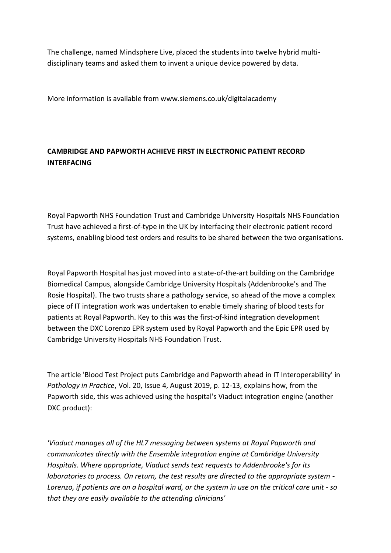The challenge, named Mindsphere Live, placed the students into twelve hybrid multidisciplinary teams and asked them to invent a unique device powered by data.

More information is available from www.siemens.co.uk/digitalacademy

# **CAMBRIDGE AND PAPWORTH ACHIEVE FIRST IN ELECTRONIC PATIENT RECORD INTERFACING**

Royal Papworth NHS Foundation Trust and Cambridge University Hospitals NHS Foundation Trust have achieved a first-of-type in the UK by interfacing their electronic patient record systems, enabling blood test orders and results to be shared between the two organisations.

Royal Papworth Hospital has just moved into a state-of-the-art building on the Cambridge Biomedical Campus, alongside Cambridge University Hospitals (Addenbrooke's and The Rosie Hospital). The two trusts share a pathology service, so ahead of the move a complex piece of IT integration work was undertaken to enable timely sharing of blood tests for patients at Royal Papworth. Key to this was the first-of-kind integration development between the DXC Lorenzo EPR system used by Royal Papworth and the Epic EPR used by Cambridge University Hospitals NHS Foundation Trust.

The article 'Blood Test Project puts Cambridge and Papworth ahead in IT Interoperability' in *Pathology in Practice*, Vol. 20, Issue 4, August 2019, p. 12-13, explains how, from the Papworth side, this was achieved using the hospital's Viaduct integration engine (another DXC product):

*'Viaduct manages all of the HL7 messaging between systems at Royal Papworth and communicates directly with the Ensemble integration engine at Cambridge University Hospitals. Where appropriate, Viaduct sends text requests to Addenbrooke's for its laboratories to process. On return, the test results are directed to the appropriate system - Lorenzo, if patients are on a hospital ward, or the system in use on the critical care unit - so that they are easily available to the attending clinicians'*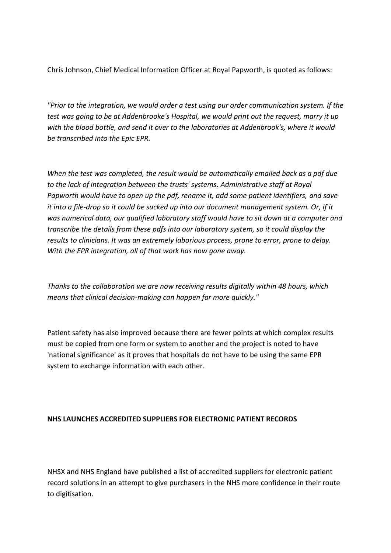Chris Johnson, Chief Medical Information Officer at Royal Papworth, is quoted as follows:

*"Prior to the integration, we would order a test using our order communication system. If the test was going to be at Addenbrooke's Hospital, we would print out the request, marry it up with the blood bottle, and send it over to the laboratories at Addenbrook's, where it would be transcribed into the Epic EPR.*

*When the test was completed, the result would be automatically emailed back as a pdf due to the lack of integration between the trusts' systems. Administrative staff at Royal Papworth would have to open up the pdf, rename it, add some patient identifiers, and save it into a file-drop so it could be sucked up into our document management system. Or, if it was numerical data, our qualified laboratory staff would have to sit down at a computer and transcribe the details from these pdfs into our laboratory system, so it could display the results to clinicians. It was an extremely laborious process, prone to error, prone to delay. With the EPR integration, all of that work has now gone away.*

*Thanks to the collaboration we are now receiving results digitally within 48 hours, which means that clinical decision-making can happen far more quickly."*

Patient safety has also improved because there are fewer points at which complex results must be copied from one form or system to another and the project is noted to have 'national significance' as it proves that hospitals do not have to be using the same EPR system to exchange information with each other.

### **NHS LAUNCHES ACCREDITED SUPPLIERS FOR ELECTRONIC PATIENT RECORDS**

NHSX and NHS England have published a list of accredited suppliers for electronic patient record solutions in an attempt to give purchasers in the NHS more confidence in their route to digitisation.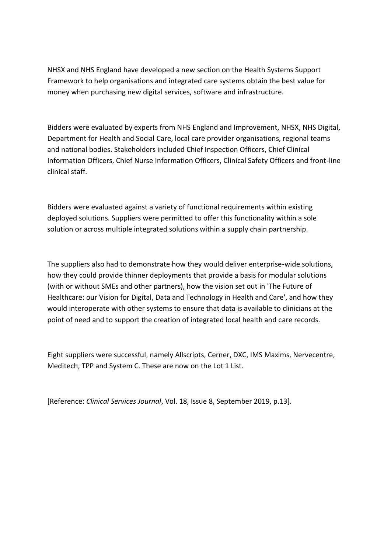NHSX and NHS England have developed a new section on the Health Systems Support Framework to help organisations and integrated care systems obtain the best value for money when purchasing new digital services, software and infrastructure.

Bidders were evaluated by experts from NHS England and Improvement, NHSX, NHS Digital, Department for Health and Social Care, local care provider organisations, regional teams and national bodies. Stakeholders included Chief Inspection Officers, Chief Clinical Information Officers, Chief Nurse Information Officers, Clinical Safety Officers and front-line clinical staff.

Bidders were evaluated against a variety of functional requirements within existing deployed solutions. Suppliers were permitted to offer this functionality within a sole solution or across multiple integrated solutions within a supply chain partnership.

The suppliers also had to demonstrate how they would deliver enterprise-wide solutions, how they could provide thinner deployments that provide a basis for modular solutions (with or without SMEs and other partners), how the vision set out in 'The Future of Healthcare: our Vision for Digital, Data and Technology in Health and Care', and how they would interoperate with other systems to ensure that data is available to clinicians at the point of need and to support the creation of integrated local health and care records.

Eight suppliers were successful, namely Allscripts, Cerner, DXC, IMS Maxims, Nervecentre, Meditech, TPP and System C. These are now on the Lot 1 List.

[Reference: *Clinical Services Journal*, Vol. 18, Issue 8, September 2019, p.13].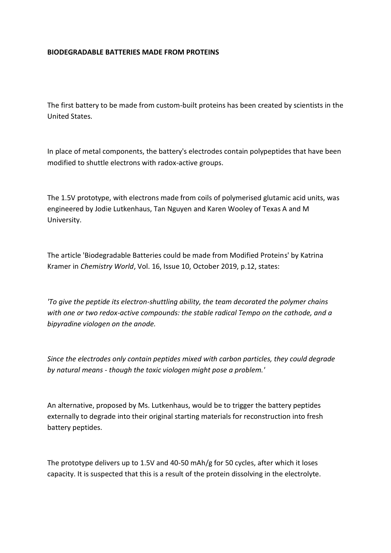### **BIODEGRADABLE BATTERIES MADE FROM PROTEINS**

The first battery to be made from custom-built proteins has been created by scientists in the United States.

In place of metal components, the battery's electrodes contain polypeptides that have been modified to shuttle electrons with radox-active groups.

The 1.5V prototype, with electrons made from coils of polymerised glutamic acid units, was engineered by Jodie Lutkenhaus, Tan Nguyen and Karen Wooley of Texas A and M University.

The article 'Biodegradable Batteries could be made from Modified Proteins' by Katrina Kramer in *Chemistry World*, Vol. 16, Issue 10, October 2019, p.12, states:

*'To give the peptide its electron-shuttling ability, the team decorated the polymer chains with one or two redox-active compounds: the stable radical Tempo on the cathode, and a bipyradine viologen on the anode.*

*Since the electrodes only contain peptides mixed with carbon particles, they could degrade by natural means - though the toxic viologen might pose a problem.'*

An alternative, proposed by Ms. Lutkenhaus, would be to trigger the battery peptides externally to degrade into their original starting materials for reconstruction into fresh battery peptides.

The prototype delivers up to 1.5V and 40-50 mAh/g for 50 cycles, after which it loses capacity. It is suspected that this is a result of the protein dissolving in the electrolyte.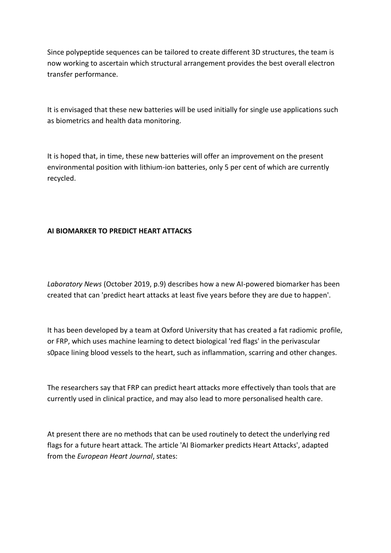Since polypeptide sequences can be tailored to create different 3D structures, the team is now working to ascertain which structural arrangement provides the best overall electron transfer performance.

It is envisaged that these new batteries will be used initially for single use applications such as biometrics and health data monitoring.

It is hoped that, in time, these new batteries will offer an improvement on the present environmental position with lithium-ion batteries, only 5 per cent of which are currently recycled.

# **AI BIOMARKER TO PREDICT HEART ATTACKS**

*Laboratory News* (October 2019, p.9) describes how a new AI-powered biomarker has been created that can 'predict heart attacks at least five years before they are due to happen'.

It has been developed by a team at Oxford University that has created a fat radiomic profile, or FRP, which uses machine learning to detect biological 'red flags' in the perivascular s0pace lining blood vessels to the heart, such as inflammation, scarring and other changes.

The researchers say that FRP can predict heart attacks more effectively than tools that are currently used in clinical practice, and may also lead to more personalised health care.

At present there are no methods that can be used routinely to detect the underlying red flags for a future heart attack. The article 'AI Biomarker predicts Heart Attacks', adapted from the *European Heart Journal*, states: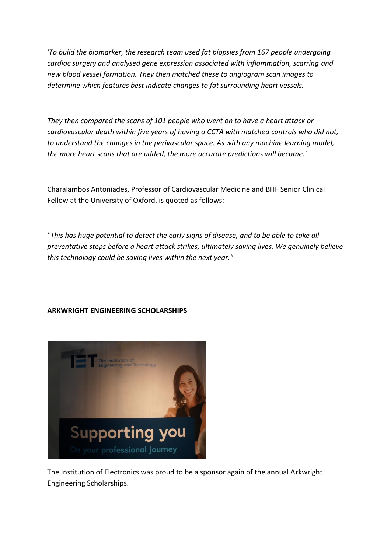*'To build the biomarker, the research team used fat biopsies from 167 people undergoing cardiac surgery and analysed gene expression associated with inflammation, scarring and new blood vessel formation. They then matched these to angiogram scan images to determine which features best indicate changes to fat surrounding heart vessels.*

*They then compared the scans of 101 people who went on to have a heart attack or cardiovascular death within five years of having a CCTA with matched controls who did not, to understand the changes in the perivascular space. As with any machine learning model, the more heart scans that are added, the more accurate predictions will become.'*

Charalambos Antoniades, Professor of Cardiovascular Medicine and BHF Senior Clinical Fellow at the University of Oxford, is quoted as follows:

*"This has huge potential to detect the early signs of disease, and to be able to take all preventative steps before a heart attack strikes, ultimately saving lives. We genuinely believe this technology could be saving lives within the next year."*

# **ARKWRIGHT ENGINEERING SCHOLARSHIPS**



The Institution of Electronics was proud to be a sponsor again of the annual Arkwright Engineering Scholarships.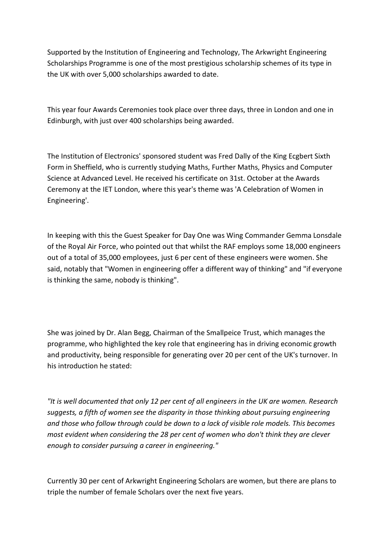Supported by the Institution of Engineering and Technology, The Arkwright Engineering Scholarships Programme is one of the most prestigious scholarship schemes of its type in the UK with over 5,000 scholarships awarded to date.

This year four Awards Ceremonies took place over three days, three in London and one in Edinburgh, with just over 400 scholarships being awarded.

The Institution of Electronics' sponsored student was Fred Dally of the King Ecgbert Sixth Form in Sheffield, who is currently studying Maths, Further Maths, Physics and Computer Science at Advanced Level. He received his certificate on 31st. October at the Awards Ceremony at the IET London, where this year's theme was 'A Celebration of Women in Engineering'.

In keeping with this the Guest Speaker for Day One was Wing Commander Gemma Lonsdale of the Royal Air Force, who pointed out that whilst the RAF employs some 18,000 engineers out of a total of 35,000 employees, just 6 per cent of these engineers were women. She said, notably that "Women in engineering offer a different way of thinking" and "if everyone is thinking the same, nobody is thinking".

She was joined by Dr. Alan Begg, Chairman of the Smallpeice Trust, which manages the programme, who highlighted the key role that engineering has in driving economic growth and productivity, being responsible for generating over 20 per cent of the UK's turnover. In his introduction he stated:

*"It is well documented that only 12 per cent of all engineers in the UK are women. Research suggests, a fifth of women see the disparity in those thinking about pursuing engineering and those who follow through could be down to a lack of visible role models. This becomes most evident when considering the 28 per cent of women who don't think they are clever enough to consider pursuing a career in engineering."*

Currently 30 per cent of Arkwright Engineering Scholars are women, but there are plans to triple the number of female Scholars over the next five years.